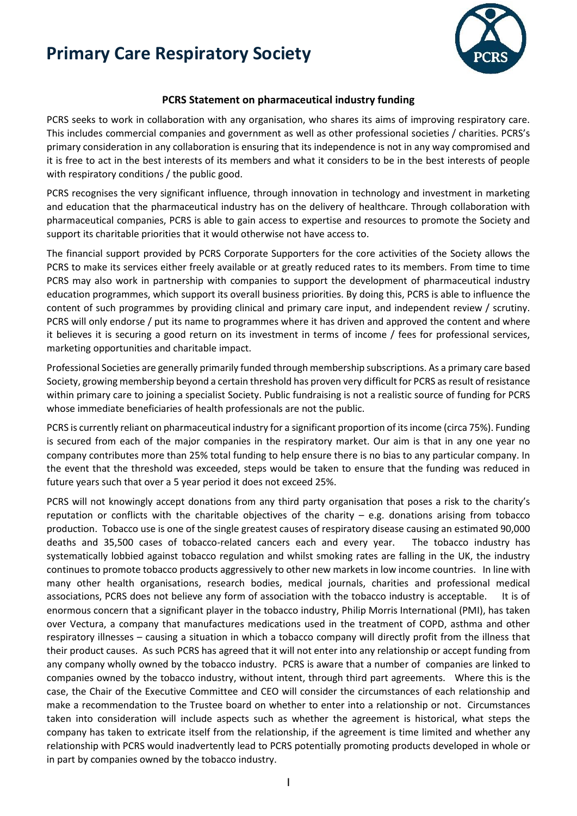## **Primary Care Respiratory Society**



## **PCRS Statement on pharmaceutical industry funding**

PCRS seeks to work in collaboration with any organisation, who shares its aims of improving respiratory care. This includes commercial companies and government as well as other professional societies / charities. PCRS's primary consideration in any collaboration is ensuring that its independence is not in any way compromised and it is free to act in the best interests of its members and what it considers to be in the best interests of people with respiratory conditions / the public good.

PCRS recognises the very significant influence, through innovation in technology and investment in marketing and education that the pharmaceutical industry has on the delivery of healthcare. Through collaboration with pharmaceutical companies, PCRS is able to gain access to expertise and resources to promote the Society and support its charitable priorities that it would otherwise not have access to.

The financial support provided by PCRS Corporate Supporters for the core activities of the Society allows the PCRS to make its services either freely available or at greatly reduced rates to its members. From time to time PCRS may also work in partnership with companies to support the development of pharmaceutical industry education programmes, which support its overall business priorities. By doing this, PCRS is able to influence the content of such programmes by providing clinical and primary care input, and independent review / scrutiny. PCRS will only endorse / put its name to programmes where it has driven and approved the content and where it believes it is securing a good return on its investment in terms of income / fees for professional services, marketing opportunities and charitable impact.

Professional Societies are generally primarily funded through membership subscriptions. As a primary care based Society, growing membership beyond a certain threshold has proven very difficult for PCRS as result of resistance within primary care to joining a specialist Society. Public fundraising is not a realistic source of funding for PCRS whose immediate beneficiaries of health professionals are not the public.

PCRS is currently reliant on pharmaceutical industry for a significant proportion of its income (circa 75%). Funding is secured from each of the major companies in the respiratory market. Our aim is that in any one year no company contributes more than 25% total funding to help ensure there is no bias to any particular company. In the event that the threshold was exceeded, steps would be taken to ensure that the funding was reduced in future years such that over a 5 year period it does not exceed 25%.

PCRS will not knowingly accept donations from any third party organisation that poses a risk to the charity's reputation or conflicts with the charitable objectives of the charity – e.g. donations arising from tobacco production. Tobacco use is one of the single greatest causes of respiratory disease causing an estimated 90,000 deaths and 35,500 cases of tobacco-related cancers each and every year. The tobacco industry has systematically lobbied against tobacco regulation and whilst smoking rates are falling in the UK, the industry continues to promote tobacco products aggressively to other new markets in low income countries. In line with many other health organisations, research bodies, medical journals, charities and professional medical associations, PCRS does not believe any form of association with the tobacco industry is acceptable. It is of enormous concern that a significant player in the tobacco industry, Philip Morris International (PMI), has taken over Vectura, a company that manufactures medications used in the treatment of COPD, asthma and other respiratory illnesses – causing a situation in which a tobacco company will directly profit from the illness that their product causes. As such PCRS has agreed that it will not enter into any relationship or accept funding from any company wholly owned by the tobacco industry. PCRS is aware that a number of companies are linked to companies owned by the tobacco industry, without intent, through third part agreements. Where this is the case, the Chair of the Executive Committee and CEO will consider the circumstances of each relationship and make a recommendation to the Trustee board on whether to enter into a relationship or not. Circumstances taken into consideration will include aspects such as whether the agreement is historical, what steps the company has taken to extricate itself from the relationship, if the agreement is time limited and whether any relationship with PCRS would inadvertently lead to PCRS potentially promoting products developed in whole or in part by companies owned by the tobacco industry.